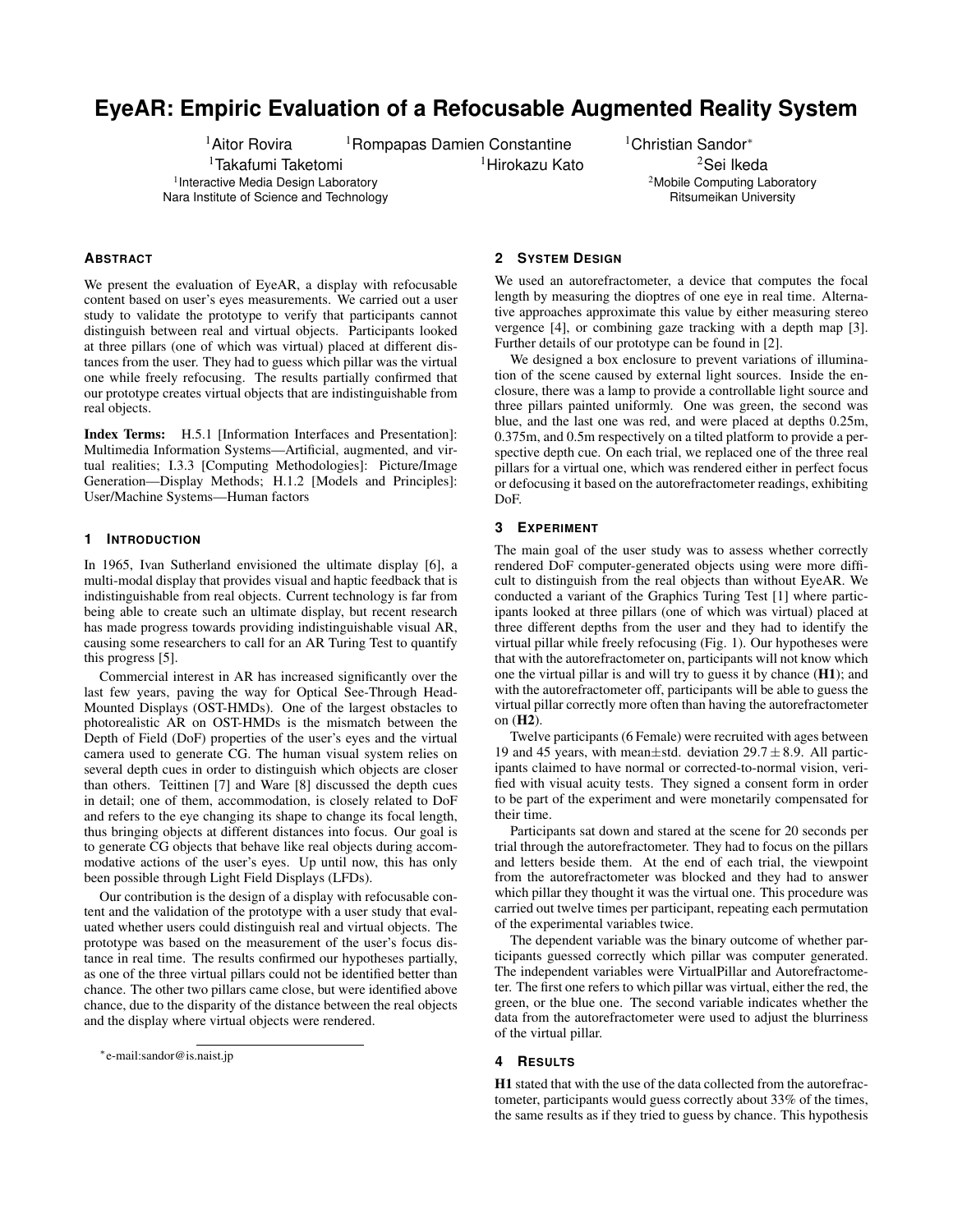# **EyeAR: Empiric Evaluation of a Refocusable Augmented Reality System**

<sup>1</sup>Takafumi Taketomi <sup>1</sup> Interactive Media Design Laboratory Nara Institute of Science and Technology

<sup>1</sup>Aitor Rovira <sup>1</sup>Rompapas Damien Constantine <sup>1</sup>Christian Sandor<sup>∗</sup>

 $1$ Hirokazu Kato  $2$ Sei Ikeda <sup>2</sup>Mobile Computing Laboratory Ritsumeikan University

## **ABSTRACT**

We present the evaluation of EyeAR, a display with refocusable content based on user's eyes measurements. We carried out a user study to validate the prototype to verify that participants cannot distinguish between real and virtual objects. Participants looked at three pillars (one of which was virtual) placed at different distances from the user. They had to guess which pillar was the virtual one while freely refocusing. The results partially confirmed that our prototype creates virtual objects that are indistinguishable from real objects.

Index Terms: H.5.1 [Information Interfaces and Presentation]: Multimedia Information Systems—Artificial, augmented, and virtual realities; I.3.3 [Computing Methodologies]: Picture/Image Generation—Display Methods; H.1.2 [Models and Principles]: User/Machine Systems—Human factors

### **1 INTRODUCTION**

In 1965, Ivan Sutherland envisioned the ultimate display [6], a multi-modal display that provides visual and haptic feedback that is indistinguishable from real objects. Current technology is far from being able to create such an ultimate display, but recent research has made progress towards providing indistinguishable visual AR, causing some researchers to call for an AR Turing Test to quantify this progress [5].

Commercial interest in AR has increased significantly over the last few years, paving the way for Optical See-Through Head-Mounted Displays (OST-HMDs). One of the largest obstacles to photorealistic AR on OST-HMDs is the mismatch between the Depth of Field (DoF) properties of the user's eyes and the virtual camera used to generate CG. The human visual system relies on several depth cues in order to distinguish which objects are closer than others. Teittinen [7] and Ware [8] discussed the depth cues in detail; one of them, accommodation, is closely related to DoF and refers to the eye changing its shape to change its focal length, thus bringing objects at different distances into focus. Our goal is to generate CG objects that behave like real objects during accommodative actions of the user's eyes. Up until now, this has only been possible through Light Field Displays (LFDs).

Our contribution is the design of a display with refocusable content and the validation of the prototype with a user study that evaluated whether users could distinguish real and virtual objects. The prototype was based on the measurement of the user's focus distance in real time. The results confirmed our hypotheses partially, as one of the three virtual pillars could not be identified better than chance. The other two pillars came close, but were identified above chance, due to the disparity of the distance between the real objects and the display where virtual objects were rendered.

## **2 SYSTEM DESIGN**

We used an autorefractometer, a device that computes the focal length by measuring the dioptres of one eye in real time. Alternative approaches approximate this value by either measuring stereo vergence [4], or combining gaze tracking with a depth map [3]. Further details of our prototype can be found in [2].

We designed a box enclosure to prevent variations of illumination of the scene caused by external light sources. Inside the enclosure, there was a lamp to provide a controllable light source and three pillars painted uniformly. One was green, the second was blue, and the last one was red, and were placed at depths 0.25m, 0.375m, and 0.5m respectively on a tilted platform to provide a perspective depth cue. On each trial, we replaced one of the three real pillars for a virtual one, which was rendered either in perfect focus or defocusing it based on the autorefractometer readings, exhibiting DoF.

#### **3 EXPERIMENT**

The main goal of the user study was to assess whether correctly rendered DoF computer-generated objects using were more difficult to distinguish from the real objects than without EyeAR. We conducted a variant of the Graphics Turing Test [1] where participants looked at three pillars (one of which was virtual) placed at three different depths from the user and they had to identify the virtual pillar while freely refocusing (Fig. 1). Our hypotheses were that with the autorefractometer on, participants will not know which one the virtual pillar is and will try to guess it by chance (H1); and with the autorefractometer off, participants will be able to guess the virtual pillar correctly more often than having the autorefractometer on (H2).

Twelve participants (6 Female) were recruited with ages between 19 and 45 years, with mean $\pm$ std. deviation 29.7 $\pm$ 8.9. All participants claimed to have normal or corrected-to-normal vision, verified with visual acuity tests. They signed a consent form in order to be part of the experiment and were monetarily compensated for their time.

Participants sat down and stared at the scene for 20 seconds per trial through the autorefractometer. They had to focus on the pillars and letters beside them. At the end of each trial, the viewpoint from the autorefractometer was blocked and they had to answer which pillar they thought it was the virtual one. This procedure was carried out twelve times per participant, repeating each permutation of the experimental variables twice.

The dependent variable was the binary outcome of whether participants guessed correctly which pillar was computer generated. The independent variables were VirtualPillar and Autorefractometer. The first one refers to which pillar was virtual, either the red, the green, or the blue one. The second variable indicates whether the data from the autorefractometer were used to adjust the blurriness of the virtual pillar.

#### **4 RESULTS**

H1 stated that with the use of the data collected from the autorefractometer, participants would guess correctly about 33% of the times, the same results as if they tried to guess by chance. This hypothesis

<sup>∗</sup> e-mail:sandor@is.naist.jp